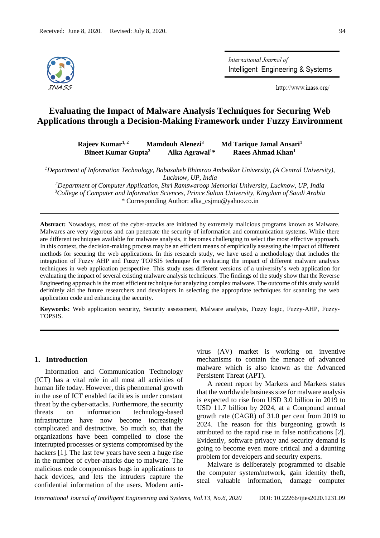

International Journal of Intelligent Engineering & Systems

http://www.inass.org/

# **Evaluating the Impact of Malware Analysis Techniques for Securing Web Applications through a Decision-Making Framework under Fuzzy Environment**

**Rajeev Kumar1, 2 Mamdouh Alenezi<sup>3</sup> Md Tarique Jamal Ansari<sup>1</sup> Bineet Kumar Gupta<sup>2</sup> Alka Agrawal<sup>1</sup>\* Raees Ahmad Khan<sup>1</sup>**

*<sup>1</sup>Department of Information Technology, Babasaheb Bhimrao Ambedkar University, (A Central University), Lucknow, UP, India*

*<sup>2</sup>Department of Computer Application, Shri Ramswaroop Memorial University, Lucknow, UP, India <sup>3</sup>College of Computer and Information Sciences, Prince Sultan University, Kingdom of Saudi Arabia* \* Corresponding Author: alka\_csjmu@yahoo.co.in

**Abstract:** Nowadays, most of the cyber-attacks are initiated by extremely malicious programs known as Malware. Malwares are very vigorous and can penetrate the security of information and communication systems. While there are different techniques available for malware analysis, it becomes challenging to select the most effective approach. In this context, the decision-making process may be an efficient means of empirically assessing the impact of different methods for securing the web applications. In this research study, we have used a methodology that includes the integration of Fuzzy AHP and Fuzzy TOPSIS technique for evaluating the impact of different malware analysis techniques in web application perspective. This study uses different versions of a university's web application for evaluating the impact of several existing malware analysis techniques. The findings of the study show that the Reverse Engineering approach is the most efficient technique for analyzing complex malware. The outcome of this study would definitely aid the future researchers and developers in selecting the appropriate techniques for scanning the web application code and enhancing the security.

**Keywords:** Web application security, Security assessment, Malware analysis, Fuzzy logic, Fuzzy-AHP, Fuzzy-TOPSIS.

# **1. Introduction**

Information and Communication Technology (ICT) has a vital role in all most all activities of human life today. However, this phenomenal growth in the use of ICT enabled facilities is under constant threat by the cyber-attacks. Furthermore, the security threats on information technology-based infrastructure have now become increasingly complicated and destructive. So much so, that the organizations have been compelled to close the interrupted processes or systems compromised by the hackers [1]. The last few years have seen a huge rise in the number of cyber-attacks due to malware. The malicious code compromises bugs in applications to hack devices, and lets the intruders capture the confidential information of the users. Modern antivirus (AV) market is working on inventive mechanisms to contain the menace of advanced malware which is also known as the Advanced Persistent Threat (APT).

A recent report by Markets and Markets states that the worldwide business size for malware analysis is expected to rise from USD 3.0 billion in 2019 to USD 11.7 billion by 2024, at a Compound annual growth rate (CAGR) of 31.0 per cent from 2019 to 2024. The reason for this burgeoning growth is attributed to the rapid rise in false notifications [2]. Evidently, software privacy and security demand is going to become even more critical and a daunting problem for developers and security experts.

Malware is deliberately programmed to disable the computer system/network, gain identity theft, steal valuable information, damage computer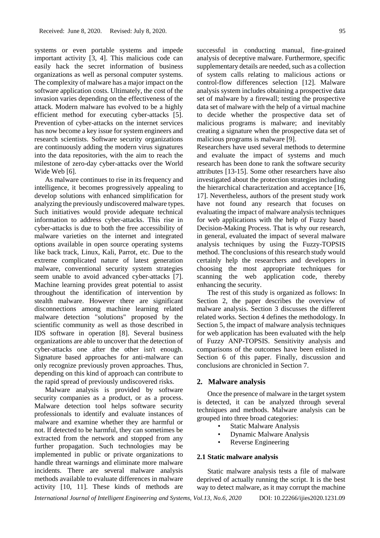systems or even portable systems and impede important activity [3, 4]. This malicious code can easily hack the secret information of business organizations as well as personal computer systems. The complexity of malware has a major impact on the software application costs. Ultimately, the cost of the invasion varies depending on the effectiveness of the attack. Modern malware has evolved to be a highly efficient method for executing cyber-attacks [5]. Prevention of cyber-attacks on the internet services has now become a key issue for system engineers and research scientists. Software security organizations are continuously adding the modern virus signatures into the data repositories, with the aim to reach the milestone of zero-day cyber-attacks over the World Wide Web [6].

As malware continues to rise in its frequency and intelligence, it becomes progressively appealing to develop solutions with enhanced simplification for analyzing the previously undiscovered malware types. Such initiatives would provide adequate technical information to address cyber-attacks. This rise in cyber-attacks is due to both the free accessibility of malware varieties on the internet and integrated options available in open source operating systems like back track, Linux, Kali, Parrot, etc. Due to the extreme complicated nature of latest generation malware, conventional security system strategies seem unable to avoid advanced cyber-attacks [7]. Machine learning provides great potential to assist throughout the identification of intervention by stealth malware. However there are significant disconnections among machine learning related malware detection "solutions" proposed by the scientific community as well as those described in IDS software in operation [8]. Several business organizations are able to uncover that the detection of cyber-attacks one after the other isn't enough. Signature based approaches for anti-malware can only recognize previously proven approaches. Thus, depending on this kind of approach can contribute to the rapid spread of previously undiscovered risks.

Malware analysis is provided by software security companies as a product, or as a process. Malware detection tool helps software security professionals to identify and evaluate instances of malware and examine whether they are harmful or not. If detected to be harmful, they can sometimes be extracted from the network and stopped from any further propagation. Such technologies may be implemented in public or private organizations to handle threat warnings and eliminate more malware incidents. There are several malware analysis methods available to evaluate differences in malware activity [10, 11]. These kinds of methods are

successful in conducting manual, fine-grained analysis of deceptive malware. Furthermore, specific supplementary details are needed, such as a collection of system calls relating to malicious actions or control-flow differences selection [12]. Malware analysis system includes obtaining a prospective data set of malware by a firewall; testing the prospective data set of malware with the help of a virtual machine to decide whether the prospective data set of malicious programs is malware; and inevitably creating a signature when the prospective data set of malicious programs is malware [9].

Researchers have used several methods to determine and evaluate the impact of systems and much research has been done to rank the software security attributes [13-15]. Some other researchers have also investigated about the protection strategies including the hierarchical characterization and acceptance [16, 17]. Nevertheless, authors of the present study work have not found any research that focuses on evaluating the impact of malware analysis techniques for web applications with the help of Fuzzy based Decision-Making Process. That is why our research, in general, evaluated the impact of several malware analysis techniques by using the Fuzzy-TOPSIS method. The conclusions of this research study would certainly help the researchers and developers in choosing the most appropriate techniques for scanning the web application code, thereby enhancing the security.

The rest of this study is organized as follows: In Section 2, the paper describes the overview of malware analysis. Section 3 discusses the different related works. Section 4 defines the methodology. In Section 5, the impact of malware analysis techniques for web application has been evaluated with the help of Fuzzy ANP-TOPSIS. Sensitivity analysis and comparisons of the outcomes have been enlisted in Section 6 of this paper. Finally, discussion and conclusions are chronicled in Section 7.

### **2. Malware analysis**

Once the presence of malware in the target system is detected, it can be analyzed through several techniques and methods. Malware analysis can be grouped into three broad categories:

- **Static Malware Analysis**
- Dynamic Malware Analysis
- Reverse Engineering

#### **2.1 Static malware analysis**

Static malware analysis tests a file of malware deprived of actually running the script. It is the best way to detect malware, as it may corrupt the machine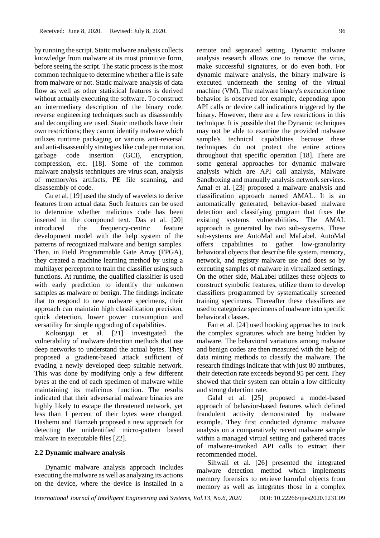by running the script. Static malware analysis collects knowledge from malware at its most primitive form, before seeing the script. The static process is the most common technique to determine whether a file is safe from malware or not. Static malware analysis of data flow as well as other statistical features is derived without actually executing the software. To construct an intermediary description of the binary code, reverse engineering techniques such as disassembly and decompiling are used. Static methods have their own restrictions; they cannot identify malware which utilizes runtime packaging or various anti-reversal and anti-disassembly strategies like code permutation, garbage code insertion (GCI), encryption, compression, etc. [18]. Some of the common malware analysis techniques are virus scan, analysis of memory/os artifacts, PE file scanning, and disassembly of code.

Gu et al. [19] used the study of wavelets to derive features from actual data. Such features can be used to determine whether malicious code has been inserted in the compound text. Das et al. [20] introduced the frequency-centric feature development model with the help system of the patterns of recognized malware and benign samples. Then, in Field Programmable Gate Array (FPGA), they created a machine learning method by using a multilayer perceptron to train the classifier using such functions. At runtime, the qualified classifier is used with early prediction to identify the unknown samples as malware or benign. The findings indicate that to respond to new malware specimens, their approach can maintain high classification precision, quick detection, lower power consumption and versatility for simple upgrading of capabilities.

Kolosnjaji et al. [21] investigated the vulnerability of malware detection methods that use deep networks to understand the actual bytes. They proposed a gradient-based attack sufficient of evading a newly developed deep suitable network. This was done by modifying only a few different bytes at the end of each specimen of malware while maintaining its malicious function. The results indicated that their adversarial malware binaries are highly likely to escape the threatened network, yet less than 1 percent of their bytes were changed. Hashemi and Hamzeh proposed a new approach for detecting the unidentified micro-pattern based malware in executable files [22].

#### **2.2 Dynamic malware analysis**

Dynamic malware analysis approach includes executing the malware as well as analyzing its actions on the device, where the device is installed in a remote and separated setting. Dynamic malware analysis research allows one to remove the virus, make successful signatures, or do even both. For dynamic malware analysis, the binary malware is executed underneath the setting of the virtual machine (VM). The malware binary's execution time behavior is observed for example, depending upon API calls or device call indications triggered by the binary. However, there are a few restrictions in this technique. It is possible that the Dynamic techniques may not be able to examine the provided malware sample's technical capabilities because these techniques do not protect the entire actions throughout that specific operation [18]. There are some general approaches for dynamic malware analysis which are API call analysis, Malware Sandboxing and manually analysis network services. Amal et al. [23] proposed a malware analysis and classification approach named AMAL. It is an automatically generated, behavior-based malware detection and classifying program that fixes the existing systems vulnerabilities. The AMAL approach is generated by two sub-systems. These sub-systems are AutoMal and MaLabel. AutoMal offers capabilities to gather low-granularity behavioral objects that describe file system, memory, network, and registry malware use and does so by executing samples of malware in virtualized settings. On the other side, MaLabel utilizes these objects to construct symbolic features, utilize them to develop classifiers programmed by systematically screened training specimens. Thereafter these classifiers are used to categorize specimens of malware into specific behavioral classes.

Fan et al. [24] used hooking approaches to track the complex signatures which are being hidden by malware. The behavioral variations among malware and benign codes are then measured with the help of data mining methods to classify the malware. The research findings indicate that with just 80 attributes, their detection rate exceeds beyond 95 per cent. They showed that their system can obtain a low difficulty and strong detection rate.

Galal et al. [25] proposed a model-based approach of behavior-based features which defined fraudulent activity demonstrated by malware example. They first conducted dynamic malware analysis on a comparatively recent malware sample within a managed virtual setting and gathered traces of malware-invoked API calls to extract their recommended model.

Sihwail et al. [26] presented the integrated malware detection method which implements memory forensics to retrieve harmful objects from memory as well as integrates those in a complex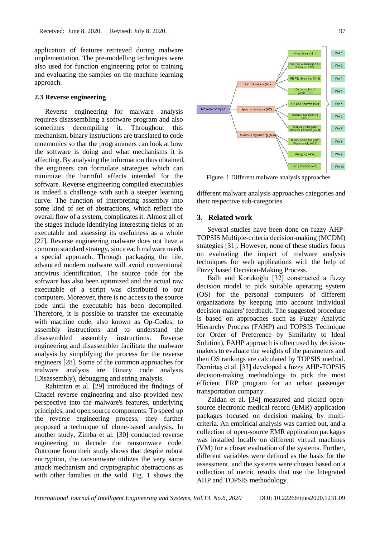application of features retrieved during malware implementation. The pre-modelling techniques were also used for function engineering prior to training and evaluating the samples on the machine learning approach.

# **2.3 Reverse engineering**

Reverse engineering for malware analysis requires disassembling a software program and also sometimes decompiling it. Throughout this mechanism, binary instructions are translated to code mnemonics so that the programmers can look at how the software is doing and what mechanisms it is affecting. By analysing the information thus obtained, the engineers can formulate strategies which can minimize the harmful effects intended for the software. Reverse engineering compiled executables is indeed a challenge with such a steeper learning curve. The function of interpreting assembly into some kind of set of abstractions, which reflect the overall flow of a system, complicates it. Almost all of the stages include identifying interesting fields of an executable and assessing its usefulness as a whole [27]. Reverse engineering malware does not have a common standard strategy, since each malware needs a special approach. Through packaging the file, advanced modern malware will avoid conventional antivirus identification. The source code for the software has also been optimized and the actual raw executable of a script was distributed to our computers. Moreover, there is no access to the source code until the executable has been decompiled. Therefore, it is possible to transfer the executable with machine code, also known as Op-Codes, to assembly instructions and to understand the disassembled assembly instructions. Reverse engineering and disassembler facilitate the malware analysis by simplifying the process for the reverse engineers [28]. Some of the common approaches for malware analysis are Binary code analysis (Disassembly), debugging and string analysis.

Rahimian et al. [29] introduced the findings of Citadel reverse engineering and also provided new perspective into the malware's features, underlying principles, and open source components. To speed up the reverse engineering process, they further proposed a technique of clone-based analysis. In another study, Zimba et al. [30] conducted reverse engineering to decode the ransomware code. Outcome from their study shows that despite robust encryption, the ransomware utilizes the very same attack mechanism and cryptographic abstractions as with other families in the wild. Fig. 1 shows the



Figure. 1 Different malware analysis approaches

different malware analysis approaches categories and their respective sub-categories.

# **3. Related work**

Several studies have been done on fuzzy AHP-TOPSIS Multiple-criteria decision-making (MCDM) strategies [31]. However, none of these studies focus on evaluating the impact of malware analysis techniques for web applications with the help of Fuzzy based Decision-Making Process.

Ballı and Korukoğlu [32] constructed a fuzzy decision model to pick suitable operating system (OS) for the personal computers of different organizations by keeping into account individual decision-makers' feedback. The suggested procedure is based on approaches such as Fuzzy Analytic Hierarchy Process (FAHP) and TOPSIS Technique for Order of Preference by Similarity to Ideal Solution). FAHP approach is often used by decisionmakers to evaluate the weights of the parameters and then OS rankings are calculated by TOPSIS method. Demirtaş et al. [33] developed a fuzzy AHP-TOPSIS decision-making methodology to pick the most efficient ERP program for an urban passenger transportation company.

Zaidan et al. [34] measured and picked opensource electronic medical record (EMR) application packages focused on decision making by multicriteria. An empirical analysis was carried out, and a collection of open-source EMR application packages was installed locally on different virtual machines (VM) for a closer evaluation of the systems. Further, different variables were defined as the basis for the assessment, and the systems were chosen based on a collection of metric results that use the Integrated AHP and TOPSIS methodology.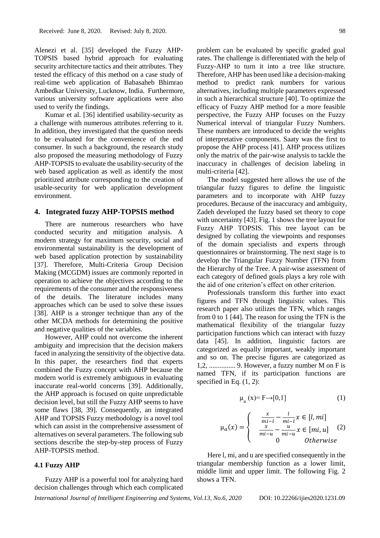Alenezi et al. [35] developed the Fuzzy AHP-TOPSIS based hybrid approach for evaluating security architecture tactics and their attributes. They tested the efficacy of this method on a case study of real-time web application of Babasaheb Bhimrao Ambedkar University, Lucknow, India. Furthermore, various university software applications were also used to verify the findings.

Kumar et al. [36] identified usability-security as a challenge with numerous attributes referring to it. In addition, they investigated that the question needs to be evaluated for the convenience of the end consumer. In such a background, the research study also proposed the measuring methodology of Fuzzy AHP-TOPSIS to evaluate the usability-security of the web based application as well as identify the most prioritized attribute corresponding to the creation of usable-security for web application development environment.

#### **4. Integrated fuzzy AHP-TOPSIS method**

There are numerous researchers who have conducted security and mitigation analysis. A modern strategy for maximum security, social and environmental sustainability is the development of web based application protection by sustainability [37]. Therefore, Multi-Criteria Group Decision Making (MCGDM) issues are commonly reported in operation to achieve the objectives according to the requirements of the consumer and the responsiveness of the details. The literature includes many approaches which can be used to solve these issues [38]. AHP is a stronger technique than any of the other MCDA methods for determining the positive and negative qualities of the variables.

However, AHP could not overcome the inherent ambiguity and imprecision that the decision makers faced in analyzing the sensitivity of the objective data. In this paper, the researchers find that experts combined the Fuzzy concept with AHP because the modern world is extremely ambiguous in evaluating inaccurate real-world concerns [39]. Additionally, the AHP approach is focused on quite unpredictable decision level, but still the Fuzzy AHP seems to have some flaws [38, 39]. Consequently, an integrated AHP and TOPSIS Fuzzy methodology is a novel tool which can assist in the comprehensive assessment of alternatives on several parameters. The following sub sections describe the step-by-step process of Fuzzy AHP-TOPSIS method.

#### **4.1 Fuzzy AHP**

Fuzzy AHP is a powerful tool for analyzing hard decision challenges through which each complicated

problem can be evaluated by specific graded goal rates. The challenge is differentiated with the help of Fuzzy-AHP to turn it into a tree like structure. Therefore, AHP has been used like a decision-making method to predict rank numbers for various alternatives, including multiple parameters expressed in such a hierarchical structure [40]. To optimize the efficacy of Fuzzy AHP method for a more feasible perspective, the Fuzzy AHP focuses on the Fuzzy Numerical interval of triangular Fuzzy Numbers. These numbers are introduced to decide the weights of interpretative components. Saaty was the first to propose the AHP process [41]. AHP process utilizes only the matrix of the pair-wise analysis to tackle the inaccuracy in challenges of decision labeling in multi-criteria [42].

The model suggested here allows the use of the triangular fuzzy figures to define the linguistic parameters and to incorporate with AHP fuzzy procedures. Because of the inaccuracy and ambiguity, Zadeh developed the fuzzy based set theory to cope with uncertainty [43]. Fig. 1 shows the tree layout for Fuzzy AHP TOPSIS. This tree layout can be designed by collating the viewpoints and responses of the domain specialists and experts through questionnaires or brainstorming. The next stage is to develop the Triangular Fuzzy Number (TFN) from the Hierarchy of the Tree. A pair-wise assessment of each category of defined goals plays a key role with the aid of one criterion's effect on other criterion.

Professionals transform this further into exact figures and TFN through linguistic values. This research paper also utilizes the TFN, which ranges from 0 to 1 [44]. The reason for using the TFN is the mathematical flexibility of the triangular fuzzy participation functions which can interact with fuzzy data [45]. In addition, linguistic factors are categorized as equally important, weakly important and so on. The precise figures are categorized as 1,2, ............... 9. However, a fuzzy number M on F is named TFN, if its participation functions are specified in Eq.  $(1, 2)$ :

$$
\mu_a(x) = F \rightarrow [0,1] \tag{1}
$$

$$
\mu_a(x) = \begin{cases}\n\frac{x}{mi - l} - \frac{l}{mi - l} x \in [l, mi] \\
\frac{x}{mi - u} - \frac{u}{mi - u} x \in [mi, u] \\
0 \quad \text{Otherwise}\n\end{cases} (2)
$$

Here l, mi, and u are specified consequently in the triangular membership function as a lower limit, middle limit and upper limit. The following Fig. 2 shows a TFN.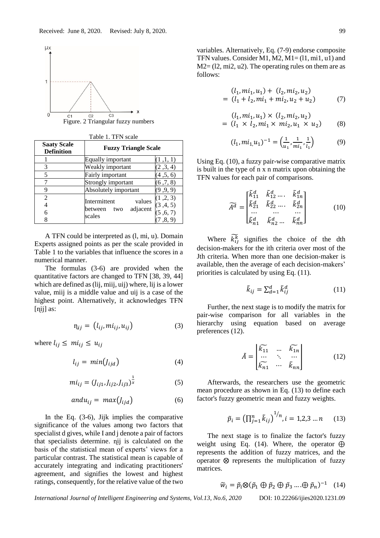

| Table 1. TFN scale                      |                                                             |                                             |  |  |  |
|-----------------------------------------|-------------------------------------------------------------|---------------------------------------------|--|--|--|
| <b>Saaty Scale</b><br><b>Definition</b> | <b>Fuzzy Triangle Scale</b>                                 |                                             |  |  |  |
|                                         | Equally important                                           | (1,1,1)                                     |  |  |  |
| 3                                       | Weakly important                                            | (2,3,4)                                     |  |  |  |
| 5                                       | Fairly important                                            | (4,5,6)                                     |  |  |  |
| 7                                       | Strongly important                                          | (6, 7, 8)                                   |  |  |  |
| 9                                       | Absolutely important                                        | (9, 9, 9)                                   |  |  |  |
| $\overline{c}$<br>4<br>6<br>8           | Intermittent<br>values<br>adjacent<br>between two<br>scales | (1, 2, 3)<br>(3,4,5)<br>(5, 6, 7)<br>(8, 9) |  |  |  |

A TFN could be interpreted as (l, mi, u). Domain Experts assigned points as per the scale provided in Table 1 to the variables that influence the scores in a numerical manner.

The formulas (3-6) are provided when the quantitative factors are changed to TFN [38, 39, 44] which are defined as (lij, miij, uij) where, lij is a lower value, miij is a middle value and uij is a case of the highest point. Alternatively, it acknowledges TFN [nij] as:

$$
\eta_{ij} = (l_{ij}, m i_{ij}, u_{ij}) \tag{3}
$$

where  $l_{ij} \leq m i_{ij} \leq u_{ij}$ 

$$
l_{ij} = min(l_{ijd}) \tag{4}
$$

$$
mi_{ij} = (J_{ij1}, J_{ij2}, J_{ij3})^{\frac{1}{x}}
$$
 (5)

$$
andu_{ij} = max(J_{ijd})
$$
 (6)

In the Eq. (3-6), Jijk implies the comparative significance of the values among two factors that specialist d gives, while I and j denote a pair of factors that specialists determine. ɳij is calculated on the basis of the statistical mean of experts' views for a particular contrast. The statistical mean is capable of accurately integrating and indicating practitioners' agreement, and signifies the lowest and highest ratings, consequently, for the relative value of the two variables. Alternatively, Eq. (7-9) endorse composite TFN values. Consider M1, M2,  $M1 = (11, mi1, u1)$  and  $M2 = (12, mi2, u2)$ . The operating rules on them are as follows:

$$
(l_1, mi_1, u_1) + (l_2, mi_2, u_2)
$$
  
=  $(l_1 + l_2, mi_1 + mi_2, u_2 + u_2)$  (7)

$$
(l_1, mi_1, u_1) \times (l_2, mi_2, u_2)
$$
  
=  $(l_1 \times l_2, mi_1 \times mi_2, u_1 \times u_2)$  (8)

$$
(l_1, mi_1, u_1)^{-1} = \left(\frac{1}{u_1}, \frac{1}{mi_1}, \frac{1}{l_1}\right) \tag{9}
$$

Using Eq. (10), a fuzzy pair-wise comparative matrix is built in the type of n x n matrix upon obtaining the TFN values for each pair of comparisons.

$$
\widetilde{A^d} = \begin{bmatrix} \widetilde{k}_{11}^d & \widetilde{k}_{12}^d \dots & \widetilde{k}_{1n}^d \\ \widetilde{k}_{21}^d & \widetilde{k}_{22}^d \dots & \widetilde{k}_{2n}^d \\ \vdots & \vdots & \ddots & \vdots \\ \widetilde{k}_{n1}^d & \widetilde{k}_{n2}^d \dots & \widetilde{k}_{nn}^d \end{bmatrix}
$$
 (10)

Where  $\widetilde{k_1}$  signifies the choice of the dth decision-makers for the ith criteria over most of the Jth criteria. When more than one decision-maker is available, then the average of each decision-makers' priorities is calculated by using Eq. (11).

$$
\tilde{k}_{ij} = \sum_{d=1}^{d} \tilde{k}_{ij}^{d} \tag{11}
$$

Further, the next stage is to modify the matrix for pair-wise comparison for all variables in the hierarchy using equation based on average preferences (12).

$$
\tilde{A} = \begin{bmatrix} \widetilde{k_{11}} & \dots & \widetilde{k_{1n}} \\ \dots & \ddots & \dots \\ \widetilde{k_{n1}} & \dots & \widetilde{k_{nn}} \end{bmatrix}
$$
(12)

Afterwards, the researchers use the geometric mean procedure as shown in Eq. (13) to define each factor's fuzzy geometric mean and fuzzy weights.

$$
\tilde{p}_i = \left(\prod_{j=1}^n \tilde{k}_{ij}\right)^{1/n}, i = 1, 2, 3 \dots n \quad (13)
$$

The next stage is to finalize the factor's fuzzy weight using Eq. (14). Where, the operator  $\bigoplus$ represents the addition of fuzzy matrices, and the operator  $\otimes$  represents the multiplication of fuzzy matrices.

$$
\widetilde{w}_i = \widetilde{p}_i \otimes (\widetilde{p}_1 \oplus \widetilde{p}_2 \oplus \widetilde{p}_3 \dots \oplus \widetilde{p}_n)^{-1} \quad (14)
$$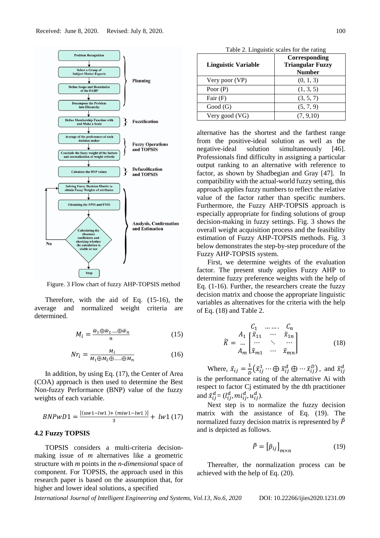

Figure. 3 Flow chart of fuzzy AHP-TOPSIS method

Therefore, with the aid of Eq. (15-16), the average and normalized weight criteria are determined.

$$
M_i = \frac{\widetilde{w}_1 \oplus \widetilde{w}_2 \dots \oplus \widetilde{w}_n}{n} \tag{15}
$$

$$
Nr_i = \frac{M_i}{M_1 \oplus M_2 \oplus \dots \oplus M_n}
$$
 (16)

In addition, by using Eq. (17), the Center of Area (COA) approach is then used to determine the Best Non-fuzzy Performance (BNP) value of the fuzzy weights of each variable.

$$
BNPwD1 = \frac{[(uw1-lw1)+(miw1-lw1)]}{3} + lw1 (17)
$$

### **4.2 Fuzzy TOPSIS**

TOPSIS considers a multi-criteria decisionmaking issue of *m* alternatives like a geometric structure with *m* points in the *n-dimensional* space of component. For TOPSIS, the approach used in this research paper is based on the assumption that, for higher and lower ideal solutions, a specified

| Table 2. Linguistic scales for the rating |                                                           |  |  |  |
|-------------------------------------------|-----------------------------------------------------------|--|--|--|
| <b>Linguistic Variable</b>                | Corresponding<br><b>Triangular Fuzzy</b><br><b>Number</b> |  |  |  |
| Very poor (VP)                            | (0, 1, 3)                                                 |  |  |  |
| Poor $(P)$                                | (1, 3, 5)                                                 |  |  |  |
| Fair $(F)$                                | (3, 5, 7)                                                 |  |  |  |
| Good(G)                                   | (5, 7, 9)                                                 |  |  |  |
| Very good (VG)                            | (7, 9, 10)                                                |  |  |  |

alternative has the shortest and the farthest range from the positive-ideal solution as well as the negative-ideal solution simultaneously [46]. Professionals find difficulty in assigning a particular output ranking to an alternative with reference to factor, as shown by Shadbegian and Gray [47]. In compatibility with the actual-world fuzzy setting, this approach applies fuzzy numbers to reflect the relative value of the factor rather than specific numbers. Furthermore, the Fuzzy AHP-TOPSIS approach is especially appropriate for finding solutions of group decision-making in fuzzy settings. Fig. 3 shows the overall weight acquisition process and the feasibility estimation of Fuzzy AHP-TOPSIS methods. Fig. 3 below demonstrates the step-by-step procedure of the Fuzzy AHP-TOPSIS system.

First, we determine weights of the evaluation factor. The present study applies Fuzzy AHP to determine fuzzy preference weights with the help of Eq. (1-16). Further, the researchers create the fuzzy decision matrix and choose the appropriate linguistic variables as alternatives for the criteria with the help of Eq. (18) and Table 2.

$$
\widetilde{K} = \begin{bmatrix}\nC_1 & \dots & C_n \\
\vdots & \vdots & \ddots & \vdots \\
\vdots & \ddots & \vdots & \vdots \\
A_m & \widetilde{x}_{m1} & \dots & \widetilde{x}_{mn}\n\end{bmatrix}
$$
\n(18)

Where,  $\tilde{x}_{ij} = \frac{1}{n}$  $\frac{1}{D}(\tilde{x}_{ij}^1 \cdots \bigoplus \tilde{x}_{ij}^d \bigoplus \cdots \tilde{x}_{ij}^D),$  and  $\tilde{x}_{ij}^d$ is the performance rating of the alternative Ai with respect to factor Cj estimated by the dth practitioner and  $\tilde{x}_{ij}^d = (l_{ij}^d, mi_{ij}^d, u_{ij}^d)$ .

Next step is to normalize the fuzzy decision matrix with the assistance of Eq. (19). The normalized fuzzy decision matrix is represented by  $\ddot{P}$ and is depicted as follows.

$$
\tilde{P} = \left[\tilde{p}_{ij}\right]_{m \times n} \tag{19}
$$

Thereafter, the normalization process can be achieved with the help of Eq. (20).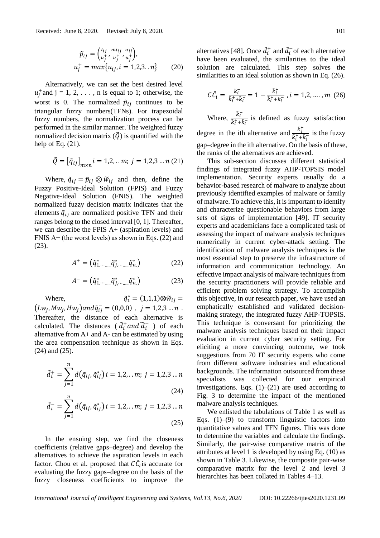$$
\tilde{p}_{ij} = \left(\frac{l_{ij}}{u_j^+}, \frac{m_{ij}}{u_j^+}, \frac{u_{ij}}{u_j^+}\right), u_j^+ = max\{u_{ij}, i = 1, 2, 3, \dots n\}
$$
 (20)

Alternatively, we can set the best desired level  $u_j^+$  and  $j = 1, 2, \ldots$ , n is equal to 1; otherwise, the worst is 0. The normalized  $\tilde{p}_{ij}$  continues to be triangular fuzzy numbers(TFNs). For trapezoidal fuzzy numbers, the normalization process can be performed in the similar manner. The weighted fuzzy normalized decision matrix  $(\tilde{Q})$  is quantified with the help of Eq.  $(21)$ .

$$
\tilde{Q} = \left[\tilde{q}_{ij}\right]_{m \times n} i = 1, 2, \dots m; \ j = 1, 2, 3 \dots n \ (21)
$$

Where,  $\tilde{q}_{ij} = \tilde{p}_{ij} \otimes \tilde{w}_{ij}$  and then, define the Fuzzy Positive-Ideal Solution (FPIS) and Fuzzy Negative-Ideal Solution (FNIS). The weighted normalized fuzzy decision matrix indicates that the elements  $\tilde{q}_{ij}$  are normalized positive TFN and their ranges belong to the closed interval [0, 1]. Thereafter, we can describe the FPIS A+ (aspiration levels) and FNIS A− (the worst levels) as shown in Eqs. (22) and (23).

$$
A^{+} = \left(\tilde{q}_{1,\cdots,\ldots,\tilde{q}}^{*},\ldots,\tilde{q}_{n,\cdot}^{*}\right) \tag{22}
$$

$$
A^- = \left(\tilde{q}_{1,\cdots,\ldots,\tilde{q}}^*_{j,\cdots,\ldots,\tilde{q}}\tilde{q}_{n,\cdot}^*\right) \tag{23}
$$

Where,  $\tilde{q}_1^* = (1,1,1) \otimes \tilde{w}_{ij} =$  $(Lw_j, Mw_j, Hw_j)$ and $\tilde{q}_{ij}^- = (0,0,0)$ ,  $j = 1,2,3...n$ . Thereafter, the distance of each alternative is calculated. The distances ( $\tilde{d}_i^{\dagger}$  and  $\tilde{d}_i^-$ ) of each alternative from A+ and A- can be estimated by using the area compensation technique as shown in Eqs. (24) and (25).

$$
\tilde{d}_i^+ = \sum_{j=1}^n d(\tilde{q}_{ij}, \tilde{q}_{ij}^*) i = 1, 2, \dots m; j = 1, 2, 3 \dots n
$$
\n(24)

$$
\tilde{d}_i^- = \sum_{j=1}^n d(\tilde{q}_{ij}, \tilde{q}_{ij}^*) i = 1, 2, \dots m; j = 1, 2, 3 \dots n
$$
\n(25)

In the ensuing step, we find the closeness coefficients (relative gaps–degree) and develop the alternatives to achieve the aspiration levels in each factor. Chou et al. proposed that  $C\tilde{C}_i$  is accurate for evaluating the fuzzy gaps–degree on the basis of the fuzzy closeness coefficients to improve the

alternatives [48]. Once  $\tilde{d}_i^+$  and  $\tilde{d}_i^-$  of each alternative have been evaluated, the similarities to the ideal solution are calculated. This step solves the similarities to an ideal solution as shown in Eq. (26).

$$
C\tilde{C}_i = \frac{\tilde{k}_i^-}{\tilde{k}_i^+ + \tilde{k}_i^-} = 1 - \frac{\tilde{k}_i^+}{\tilde{k}_i^+ + k_i^-}, i = 1, 2, ..., m \ (26)
$$

Where,  $\frac{\tilde{k}_i^-}{\tilde{k}_i^+ + \tilde{k}_j^+}$  $\frac{\kappa_i}{\tilde{k}_i^+ + \tilde{k}_i^-}$  is defined as fuzzy satisfaction degree in the ith alternative and  $\frac{\tilde{k}_t^+}{\tilde{k}_t^+ + \tilde{k}_t^+}$  $\frac{\kappa_i}{\tilde{k}_i^+ + \tilde{k}_i^-}$  is the fuzzy gap–degree in the ith alternative. On the basis of these, the ranks of the alternatives are achieved.

This sub-section discusses different statistical findings of integrated fuzzy AHP-TOPSIS model implementation. Security experts usually do a behavior-based research of malware to analyze about previously identified examples of malware or family of malware. To achieve this, it is important to identify and characterize questionable behaviors from large sets of signs of implementation [49]. IT security experts and academicians face a complicated task of assessing the impact of malware analysis techniques numerically in current cyber-attack setting. The identification of malware analysis techniques is the most essential step to preserve the infrastructure of information and communication technology. An effective impact analysis of malware techniques from the security practitioners will provide reliable and efficient problem solving strategy. To accomplish this objective, in our research paper, we have used an emphatically established and validated decisionmaking strategy, the integrated fuzzy AHP-TOPSIS. This technique is conversant for prioritizing the malware analysis techniques based on their impact evaluation in current cyber security setting. For eliciting a more convincing outcome, we took suggestions from 70 IT security experts who come from different software industries and educational backgrounds. The information outsourced from these specialists was collected for our empirical investigations. Eqs.  $(1)$ – $(21)$  are used according to Fig. 3 to determine the impact of the mentioned malware analysis techniques.

We enlisted the tabulations of Table 1 as well as Eqs.  $(1)$ – $(9)$  to transform linguistic factors into quantitative values and TFN figures. This was done to determine the variables and calculate the findings. Similarly, the pair-wise comparative matrix of the attributes at level 1 is developed by using Eq. (10) as shown in Table 3. Likewise, the composite pair-wise comparative matrix for the level 2 and level 3 hierarchies has been collated in Tables 4–13.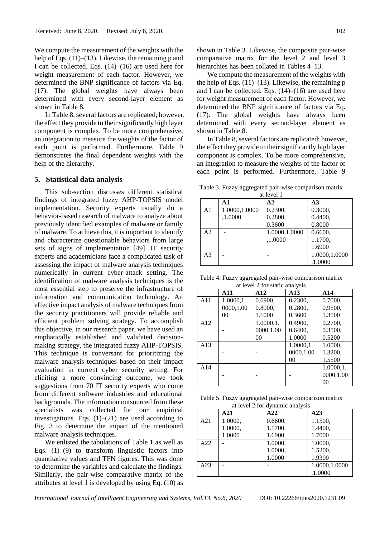We compute the measurement of the weights with the help of Eqs. (11)–(13). Likewise, the remaining p and I can be collected. Eqs. (14)–(16) are used here for weight measurement of each factor. However, we determined the BNP significance of factors via Eq. (17). The global weights have always been determined with every second-layer element as shown in Table 8.

In Table 8, several factors are replicated; however, the effect they provide to their significantly high layer component is complex. To be more comprehensive, an integration to measure the weights of the factor of each point is performed. Furthermore, Table 9 demonstrates the final dependent weights with the help of the hierarchy.

#### **5. Statistical data analysis**

This sub-section discusses different statistical findings of integrated fuzzy AHP-TOPSIS model implementation. Security experts usually do a behavior-based research of malware to analyze about previously identified examples of malware or family of malware. To achieve this, it is important to identify and characterize questionable behaviors from large sets of signs of implementation [49]. IT security experts and academicians face a complicated task of assessing the impact of malware analysis techniques numerically in current cyber-attack setting. The identification of malware analysis techniques is the most essential step to preserve the infrastructure of information and communication technology. An effective impact analysis of malware techniques from the security practitioners will provide reliable and efficient problem solving strategy. To accomplish this objective, in our research paper, we have used an emphatically established and validated decisionmaking strategy, the integrated fuzzy AHP-TOPSIS. This technique is conversant for prioritizing the malware analysis techniques based on their impact evaluation in current cyber security setting. For eliciting a more convincing outcome, we took suggestions from 70 IT security experts who come from different software industries and educational backgrounds. The information outsourced from these specialists was collected for our empirical investigations. Eqs. (1)–(21) are used according to Fig. 3 to determine the impact of the mentioned malware analysis techniques.

We enlisted the tabulations of Table 1 as well as Eqs.  $(1)$ – $(9)$  to transform linguistic factors into quantitative values and TFN figures. This was done to determine the variables and calculate the findings. Similarly, the pair-wise comparative matrix of the attributes at level 1 is developed by using Eq. (10) as

shown in Table 3. Likewise, the composite pair-wise comparative matrix for the level 2 and level 3 hierarchies has been collated in Tables 4–13.

We compute the measurement of the weights with the help of Eqs.  $(11)$ – $(13)$ . Likewise, the remaining p and I can be collected. Eqs.  $(14)$ – $(16)$  are used here for weight measurement of each factor. However, we determined the BNP significance of factors via Eq. (17). The global weights have always been determined with every second-layer element as shown in Table 8.

In Table 8, several factors are replicated; however, the effect they provide to their significantly high layer component is complex. To be more comprehensive, an integration to measure the weights of the factor of each point is performed. Furthermore, Table 9

Table 3. Fuzzy-aggregated pair-wise comparison matrix

| at level 1     |               |               |                |  |  |  |  |
|----------------|---------------|---------------|----------------|--|--|--|--|
|                | A1            | $\mathbf{A2}$ | A <sub>3</sub> |  |  |  |  |
| A <sub>1</sub> | 1.0000,1.0000 | 0.2300,       | 0.3000,        |  |  |  |  |
|                | ,1.0000       | 0.2800,       | 0.4400,        |  |  |  |  |
|                |               | 0.3600        | 0.8000         |  |  |  |  |
| A2             |               | 1.0000,1.0000 | 0.6600,        |  |  |  |  |
|                |               | ,1.0000       | 1.1700,        |  |  |  |  |
|                |               |               | 1.6900         |  |  |  |  |
| A <sub>3</sub> |               |               | 1.0000,1.0000  |  |  |  |  |
|                |               |               | ,1.0000        |  |  |  |  |

Table 4. Fuzzy aggregated pair-wise comparison matrix at level 2 for static analysis

|     | A11       | A12       | A13            | A14       |
|-----|-----------|-----------|----------------|-----------|
| A11 | 1.0000,1. | 0.6900,   | 0.2300,        | 0.7000,   |
|     | 0000,1.00 | 0.8900,   | 0.2800,        | 0.9500,   |
|     | 00        | 1.1000    | 0.3600         | 1.3500    |
| A12 |           | 1.0000,1. | 0.4900,        | 0.2700,   |
|     |           | 0000,1.00 | 0.6400.        | 0.3500,   |
|     |           | 00        | 1.0000         | 0.5200    |
| A13 |           |           | 1.0000,1.      | 1.0000,   |
|     |           |           | 0000,1.00      | 1.3200,   |
|     |           |           | 0 <sub>0</sub> | 1.5500    |
| A14 |           |           |                | 1.0000,1. |
|     |           |           |                | 0000,1.00 |
|     |           |           |                | 00        |

Table 5. Fuzzy aggregated pair-wise comparison matrix at level 2 for dynamic analysis

|     | A21     | A22     | A23           |
|-----|---------|---------|---------------|
| A21 | 1.0000, | 0.6600. | 1.1500,       |
|     | 1.0000, | 1.1700, | 1.4400,       |
|     | 1.0000  | 1.6900  | 1.7000        |
| A22 |         | 1.0000, | 1.0000.       |
|     |         | 1.0000, | 1.5200,       |
|     |         | 1.0000  | 1.9300        |
| A23 |         |         | 1.0000,1.0000 |
|     |         |         | ,1.0000       |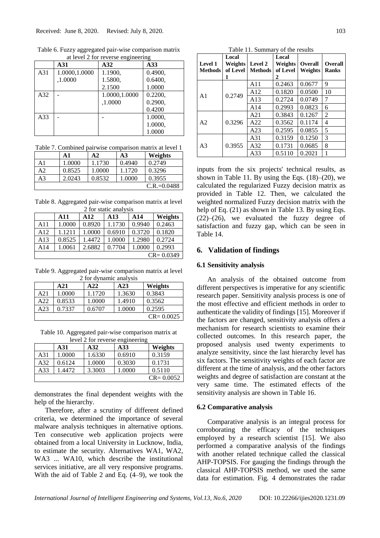Table 6. Fuzzy aggregated pair-wise comparison matrix at level 2 for reverse engineering

|                 | A31           | A32           | A33     |
|-----------------|---------------|---------------|---------|
| A31             | 1.0000,1.0000 | 1.1900,       | 0.4900, |
|                 | ,1.0000       | 1.5800,       | 0.6400, |
|                 |               | 2.1500        | 1.0000  |
| A <sub>32</sub> |               | 1.0000,1.0000 | 0.2200, |
|                 |               | ,1.0000       | 0.2900, |
|                 |               |               | 0.4200  |
| A33             |               |               | 1.0000, |
|                 |               |               | 1.0000, |
|                 |               |               | 1.0000  |

Table 7. Combined pairwise comparison matrix at level 1

|    | A1     | A2     | A <sub>3</sub> | Weights         |
|----|--------|--------|----------------|-----------------|
| A1 | 1.0000 | 1.1730 | 0.4940         | 0.2749          |
| A2 | 0.8525 | 1.0000 | 1.1720         | 0.3296          |
| A3 | 2.0243 | 0.8532 | 1.0000         | 0.3955          |
|    |        |        |                | $C.R. = 0.0488$ |

Table 8. Aggregated pair-wise comparison matrix at level 2 for static analysis

|               | A11    | A12    | A13    | A <sub>14</sub> | Weights |  |
|---------------|--------|--------|--------|-----------------|---------|--|
| A11           | 1.0000 | 0.8920 | 1.1730 | 0.9940          | 0.2463  |  |
| A12           | 1.1211 | 1.0000 | 0.6910 | 0.3720          | 0.1820  |  |
| A13           | 0.8525 | 1.4472 | 1.0000 | 1.2980          | 0.2724  |  |
| A14           | 1.0061 | 2.6882 | 0.7704 | 1.0000          | 0.2993  |  |
| $CR = 0.0349$ |        |        |        |                 |         |  |

Table 9. Aggregated pair-wise comparison matrix at level 2 for dynamic analysis

|     | A21    | A22    | A23    | Weights       |  |  |
|-----|--------|--------|--------|---------------|--|--|
| A21 | 1.0000 | 1.1720 | 1.3630 | 0.3843        |  |  |
| A22 | 0.8533 | 1.0000 | 1.4910 | 0.3562        |  |  |
| A23 | 0.7337 | 0.6707 | 1.0000 | 0.2595        |  |  |
|     |        |        |        | $CR = 0.0025$ |  |  |

Table 10. Aggregated pair-wise comparison matrix at level 2 for reverse engineering

|               | A31     | A32    | A33    | Weights |  |  |
|---------------|---------|--------|--------|---------|--|--|
| A31           | 1.0000  | 1.6330 | 0.6910 | 0.3159  |  |  |
| A32           | 0.6124  | 1.0000 | 0.3030 | 0.1731  |  |  |
| A33           | 1.4472. | 3.3003 | 1.0000 | 0.5110  |  |  |
| $CR = 0.0052$ |         |        |        |         |  |  |

demonstrates the final dependent weights with the help of the hierarchy.

Therefore, after a scrutiny of different defined criteria, we determined the importance of several malware analysis techniques in alternative options. Ten consecutive web application projects were obtained from a local University in Lucknow, India, to estimate the security. Alternatives WA1, WA2, WA3 ... WA10, which describe the institutional services initiative, are all very responsive programs. With the aid of Table 2 and Eq. (4–9), we took the

Table 11. Summary of the results **Local Local** 

|                | Local    |                | Local    |                |                |
|----------------|----------|----------------|----------|----------------|----------------|
| <b>Level 1</b> | Weights  | Level 2        | Weights  | <b>Overall</b> | <b>Overall</b> |
| <b>Methods</b> | of Level | <b>Methods</b> | of Level | <b>Weights</b> | <b>Ranks</b>   |
|                | 1        |                | 2        |                |                |
|                |          | A11            | 0.2463   | 0.0677         | 9              |
| A <sub>1</sub> | 0.2749   | A12            | 0.1820   | 0.0500         | 10             |
|                |          | A13            | 0.2724   | 0.0749         | 7              |
|                |          | A14            | 0.2993   | 0.0823         | 6              |
|                | 0.3296   | A21            | 0.3843   | 0.1267         | $\overline{2}$ |
| A <sub>2</sub> |          | A22            | 0.3562   | 0.1174         | 4              |
|                |          | A23            | 0.2595   | 0.0855         | 5              |
| A <sub>3</sub> |          | A31            | 0.3159   | 0.1250         | 3              |
|                | 0.3955   | A32            | 0.1731   | 0.0685         | 8              |
|                |          | A33            | 0.5110   | 0.2021         |                |

inputs from the six projects' technical results, as shown in Table 11. By using the Eqs.  $(18)$ – $(20)$ , we calculated the regularized Fuzzy decision matrix as provided in Table 12. Then, we calculated the weighted normalized Fuzzy decision matrix with the help of Eq. (21) as shown in Table 13. By using Eqs.  $(22)$ – $(26)$ , we evaluated the fuzzy degree of satisfaction and fuzzy gap, which can be seen in Table 14.

# **6. Validation of findings**

#### **6.1 Sensitivity analysis**

An analysis of the obtained outcome from different perspectives is imperative for any scientific research paper. Sensitivity analysis process is one of the most effective and efficient methods in order to authenticate the validity of findings [15]. Moreover if the factors are changed, sensitivity analysis offers a mechanism for research scientists to examine their collected outcomes. In this research paper, the proposed analysis used twenty experiments to analyze sensitivity, since the last hierarchy level has six factors. The sensitivity weights of each factor are different at the time of analysis, and the other factors weights and degree of satisfaction are constant at the very same time. The estimated effects of the sensitivity analysis are shown in Table 16.

#### **6.2 Comparative analysis**

Comparative analysis is an integral process for corroborating the efficacy of the techniques employed by a research scientist [15]. We also performed a comparative analysis of the findings with another related technique called the classical AHP-TOPSIS. For gauging the findings through the classical AHP-TOPSIS method, we used the same data for estimation. Fig. 4 demonstrates the radar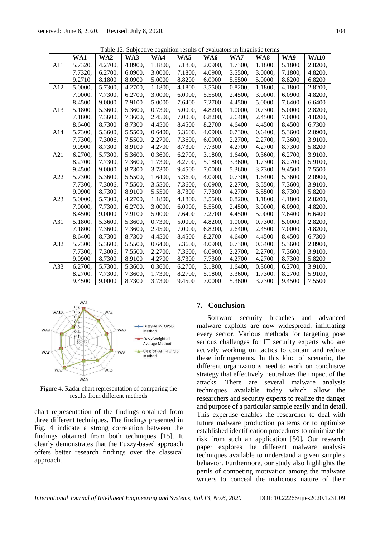|     |         |         | Table 12. Subjective cognition results of evaluators in imiguistic terms |         |         |         |         |         |         |             |
|-----|---------|---------|--------------------------------------------------------------------------|---------|---------|---------|---------|---------|---------|-------------|
|     | WA1     | WA2     | WA3                                                                      | WA4     | WA5     | WA6     | WA7     | WA8     | WA9     | <b>WA10</b> |
| A11 | 5.7320, | 4.2700, | 4.0900,                                                                  | 1.1800, | 5.1800, | 2.0900, | 1.7300, | 1.1800, | 5.1800, | 2.8200,     |
|     | 7.7320, | 6.2700, | 6.0900,                                                                  | 3.0000, | 7.1800, | 4.0900, | 3.5500, | 3.0000, | 7.1800, | 4.8200,     |
|     | 9.2710  | 8.1800  | 8.0900                                                                   | 5.0000  | 8.8200  | 6.0900  | 5.5500  | 5.0000  | 8.8200  | 6.8200      |
| A12 | 5.0000, | 5.7300, | 4.2700,                                                                  | 1.1800, | 4.1800, | 3.5500, | 0.8200, | 1.1800, | 4.1800, | 2.8200,     |
|     | 7.0000, | 7.7300, | 6.2700,                                                                  | 3.0000, | 6.0900, | 5.5500, | 2.4500, | 3.0000, | 6.0900, | 4.8200,     |
|     | 8.4500  | 9.0000  | 7.9100                                                                   | 5.0000  | 7.6400  | 7.2700  | 4.4500  | 5.0000  | 7.6400  | 6.6400      |
| A13 | 5.1800, | 5.3600, | 5.3600,                                                                  | 0.7300, | 5.0000, | 4.8200, | 1.0000, | 0.7300, | 5.0000, | 2.8200,     |
|     | 7.1800, | 7.3600, | 7.3600,                                                                  | 2.4500, | 7.0000, | 6.8200, | 2.6400, | 2.4500, | 7.0000, | 4.8200,     |
|     | 8.6400  | 8.7300  | 8.7300                                                                   | 4.4500  | 8.4500  | 8.2700  | 4.6400  | 4.4500  | 8.4500  | 6.7300      |
| A14 | 5.7300, | 5.3600, | 5.5500,                                                                  | 0.6400, | 5.3600, | 4.0900, | 0.7300, | 0.6400, | 5.3600, | 2.0900,     |
|     | 7.7300, | 7.3006, | 7.5500,                                                                  | 2.2700, | 7.3600, | 6.0900, | 2.2700, | 2.2700, | 7.3600, | 3.9100,     |
|     | 9.0900  | 8.7300  | 8.9100                                                                   | 4.2700  | 8.7300  | 7.7300  | 4.2700  | 4.2700  | 8.7300  | 5.8200      |
| A21 | 6.2700, | 5.7300, | 5.3600,                                                                  | 0.3600, | 6.2700, | 3.1800, | 1.6400, | 0.3600, | 6.2700, | 3.9100,     |
|     | 8.2700, | 7.7300, | 7.3600,                                                                  | 1.7300, | 8.2700, | 5.1800, | 3.3600, | 1.7300, | 8.2700, | 5.9100,     |
|     | 9.4500  | 9.0000  | 8.7300                                                                   | 3.7300  | 9.4500  | 7.0000  | 5.3600  | 3.7300  | 9.4500  | 7.5500      |
| A22 | 5.7300, | 5.3600, | 5.5500,                                                                  | 1.6400, | 5.3600, | 4.0900, | 0.7300, | 1.6400, | 5.3600, | 2.0900,     |
|     | 7.7300, | 7.3006, | 7.5500,                                                                  | 3.5500, | 7.3600, | 6.0900, | 2.2700, | 3.5500, | 7.3600, | 3.9100,     |
|     | 9.0900  | 8.7300  | 8.9100                                                                   | 5.5500  | 8.7300  | 7.7300  | 4.2700  | 5.5500  | 8.7300  | 5.8200      |
| A23 | 5.0000, | 5.7300, | 4.2700,                                                                  | 1.1800, | 4.1800, | 3.5500, | 0.8200, | 1.1800, | 4.1800, | 2.8200,     |
|     | 7.0000, | 7.7300, | 6.2700,                                                                  | 3.0000, | 6.0900, | 5.5500, | 2.4500, | 3.0000, | 6.0900, | 4.8200,     |
|     | 8.4500  | 9.0000  | 7.9100                                                                   | 5.0000  | 7.6400  | 7.2700  | 4.4500  | 5.0000  | 7.6400  | 6.6400      |
| A31 | 5.1800, | 5.3600, | 5.3600,                                                                  | 0.7300, | 5.0000, | 4.8200, | 1.0000, | 0.7300, | 5.0000, | 2.8200,     |
|     | 7.1800, | 7.3600, | 7.3600,                                                                  | 2.4500, | 7.0000, | 6.8200, | 2.6400, | 2.4500. | 7.0000, | 4.8200,     |
|     | 8.6400  | 8.7300  | 8.7300                                                                   | 4.4500  | 8.4500  | 8.2700  | 4.6400  | 4.4500  | 8.4500  | 6.7300      |
| A32 | 5.7300, | 5.3600, | 5.5500,                                                                  | 0.6400, | 5.3600, | 4.0900, | 0.7300, | 0.6400, | 5.3600, | 2.0900,     |
|     | 7.7300, | 7.3006, | 7.5500,                                                                  | 2.2700, | 7.3600, | 6.0900, | 2.2700, | 2.2700, | 7.3600, | 3.9100,     |
|     | 9.0900  | 8.7300  | 8.9100                                                                   | 4.2700  | 8.7300  | 7.7300  | 4.2700  | 4.2700  | 8.7300  | 5.8200      |
| A33 | 6.2700, | 5.7300, | 5.3600,                                                                  | 0.3600, | 6.2700, | 3.1800, | 1.6400, | 0.3600, | 6.2700, | 3.9100,     |
|     | 8.2700, | 7.7300, | 7.3600,                                                                  | 1.7300, | 8.2700, | 5.1800, | 3.3600, | 1.7300, | 8.2700, | 5.9100,     |
|     | 9.4500  | 9.0000  | 8.7300                                                                   | 3.7300  | 9.4500  | 7.0000  | 5.3600  | 3.7300  | 9.4500  | 7.5500      |

Table 12. Subjective cognition results of evaluations



Figure 4. Radar chart representation of comparing the results from different methods

chart representation of the findings obtained from three different techniques. The findings presented in Fig. 4 indicate a strong correlation between the findings obtained from both techniques [15]. It clearly demonstrates that the Fuzzy-based approach offers better research findings over the classical approach.

# **7. Conclusion**

Software security breaches and advanced malware exploits are now widespread, infiltrating every sector. Various methods for targeting pose serious challenges for IT security experts who are actively working on tactics to contain and reduce these infringements. In this kind of scenario, the different organizations need to work on conclusive strategy that effectively neutralizes the impact of the attacks. There are several malware analysis techniques available today which allow the researchers and security experts to realize the danger and purpose of a particular sample easily and in detail. This expertise enables the researcher to deal with future malware production patterns or to optimize established identification procedures to minimize the risk from such an application [50]. Our research paper explores the different malware analysis techniques available to understand a given sample's behavior. Furthermore, our study also highlights the perils of competing motivation among the malware writers to conceal the malicious nature of their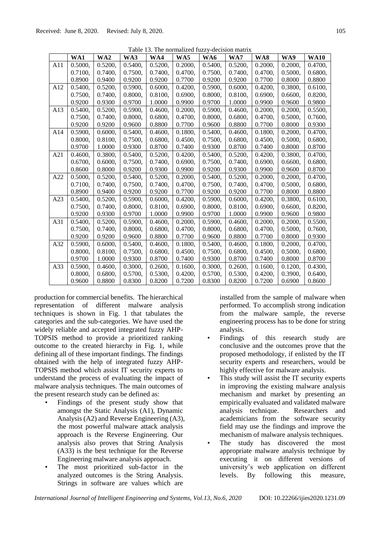| I avid 13. The hormanized fuzzy-decision matrix |         |         |         |         |         |         |         |         |         |             |
|-------------------------------------------------|---------|---------|---------|---------|---------|---------|---------|---------|---------|-------------|
|                                                 | WA1     | WA2     | WA3     | WA4     | WA5     | WA6     | WA7     | WA8     | WA9     | <b>WA10</b> |
| A11                                             | 0.5000, | 0.5200, | 0.5400, | 0.5200, | 0.2000, | 0.5400, | 0.5200, | 0.2000, | 0.2000, | 0.4700,     |
|                                                 | 0.7100, | 0.7400, | 0.7500. | 0.7400, | 0.4700. | 0.7500, | 0.7400. | 0.4700, | 0.5000. | 0.6800,     |
|                                                 | 0.8900  | 0.9400  | 0.9200  | 0.9200  | 0.7700  | 0.9200  | 0.9200  | 0.7700  | 0.8000  | 0.8800      |
| A12                                             | 0.5400, | 0.5200, | 0.5900, | 0.6000, | 0.4200, | 0.5900, | 0.6000, | 0.4200, | 0.3800, | 0.6100,     |
|                                                 | 0.7500, | 0.7400, | 0.8000, | 0.8100, | 0.6900. | 0.8000, | 0.8100, | 0.6900, | 0.6600, | 0.8200,     |
|                                                 | 0.9200  | 0.9300  | 0.9700  | 1.0000  | 0.9900  | 0.9700  | 1.0000  | 0.9900  | 0.9600  | 0.9800      |
| A13                                             | 0.5400, | 0.5200, | 0.5900, | 0.4600, | 0.2000, | 0.5900, | 0.4600, | 0.2000, | 0.2000, | 0.5500,     |
|                                                 | 0.7500, | 0.7400, | 0.8000, | 0.6800, | 0.4700, | 0.8000, | 0.6800, | 0.4700, | 0.5000, | 0.7600,     |
|                                                 | 0.9200  | 0.9200  | 0.9600  | 0.8800  | 0.7700  | 0.9600  | 0.8800  | 0.7700  | 0.8000  | 0.9300      |
| A14                                             | 0.5900, | 0.6000, | 0.5400, | 0.4600, | 0.1800, | 0.5400, | 0.4600, | 0.1800, | 0.2000, | 0.4700,     |
|                                                 | 0.8000, | 0.8100, | 0.7500, | 0.6800, | 0.4500, | 0.7500, | 0.6800, | 0.4500, | 0.5000, | 0.6800,     |
|                                                 | 0.9700  | 1.0000  | 0.9300  | 0.8700  | 0.7400  | 0.9300  | 0.8700  | 0.7400  | 0.8000  | 0.8700      |
| A21                                             | 0.4600, | 0.3800, | 0.5400, | 0.5200, | 0.4200, | 0.5400, | 0.5200, | 0.4200, | 0.3800, | 0.4700,     |
|                                                 | 0.6700, | 0.6000, | 0.7500, | 0.7400, | 0.6900, | 0.7500, | 0.7400, | 0.6900, | 0.6600, | 0.6800,     |
|                                                 | 0.8600  | 0.8000  | 0.9200  | 0.9300  | 0.9900  | 0.9200  | 0.9300  | 0.9900  | 0.9600  | 0.8700      |
| A22                                             | 0.5000, | 0.5200, | 0.5400, | 0.5200, | 0.2000, | 0.5400, | 0.5200, | 0.2000, | 0.2000, | 0.4700,     |
|                                                 | 0.7100, | 0.7400, | 0.7500, | 0.7400, | 0.4700, | 0.7500, | 0.7400, | 0.4700, | 0.5000, | 0.6800,     |
|                                                 | 0.8900  | 0.9400  | 0.9200  | 0.9200  | 0.7700  | 0.9200  | 0.9200  | 0.7700  | 0.8000  | 0.8800      |
| A23                                             | 0.5400, | 0.5200, | 0.5900, | 0.6000, | 0.4200, | 0.5900, | 0.6000, | 0.4200, | 0.3800, | 0.6100,     |
|                                                 | 0.7500, | 0.7400, | 0.8000, | 0.8100, | 0.6900, | 0.8000, | 0.8100, | 0.6900, | 0.6600, | 0.8200,     |
|                                                 | 0.9200  | 0.9300  | 0.9700  | 1.0000  | 0.9900  | 0.9700  | 1.0000  | 0.9900  | 0.9600  | 0.9800      |
| A31                                             | 0.5400. | 0.5200. | 0.5900. | 0.4600, | 0.2000. | 0.5900, | 0.4600. | 0.2000, | 0.2000, | 0.5500,     |
|                                                 | 0.7500, | 0.7400, | 0.8000, | 0.6800, | 0.4700, | 0.8000, | 0.6800, | 0.4700, | 0.5000, | 0.7600,     |
|                                                 | 0.9200  | 0.9200  | 0.9600  | 0.8800  | 0.7700  | 0.9600  | 0.8800  | 0.7700  | 0.8000  | 0.9300      |
| A32                                             | 0.5900, | 0.6000. | 0.5400, | 0.4600, | 0.1800. | 0.5400. | 0.4600, | 0.1800. | 0.2000, | 0.4700.     |
|                                                 | 0.8000. | 0.8100, | 0.7500, | 0.6800, | 0.4500, | 0.7500, | 0.6800, | 0.4500. | 0.5000, | 0.6800,     |
|                                                 | 0.9700  | 1.0000  | 0.9300  | 0.8700  | 0.7400  | 0.9300  | 0.8700  | 0.7400  | 0.8000  | 0.8700      |
| A33                                             | 0.5900. | 0.4600, | 0.3000. | 0.2600, | 0.1600. | 0.3000, | 0.2600. | 0.1600, | 0.1200. | 0.4300,     |
|                                                 | 0.8000, | 0.6800, | 0.5700, | 0.5300, | 0.4200. | 0.5700, | 0.5300, | 0.4200, | 0.3900, | 0.6400.     |
|                                                 | 0.9600  | 0.8800  | 0.8300  | 0.8200  | 0.7200  | 0.8300  | 0.8200  | 0.7200  | 0.6900  | 0.8600      |

Table 13. The normalized fuzzy-decision matrix

production for commercial benefits. The hierarchical representation of different malware analysis techniques is shown in Fig. 1 that tabulates the categories and the sub-categories. We have used the widely reliable and accepted integrated fuzzy AHP-TOPSIS method to provide a prioritized ranking outcome to the created hierarchy in Fig. 1, while defining all of these important findings. The findings obtained with the help of integrated fuzzy AHP-TOPSIS method which assist IT security experts to understand the process of evaluating the impact of malware analysis techniques. The main outcomes of the present research study can be defined as:

- Findings of the present study show that amongst the Static Analysis (A1), Dynamic Analysis (A2) and Reverse Engineering (A3), the most powerful malware attack analysis approach is the Reverse Engineering. Our analysis also proves that String Analysis (A33) is the best technique for the Reverse Engineering malware analysis approach.
- The most prioritized sub-factor in the analyzed outcomes is the String Analysis. Strings in software are values which are

installed from the sample of malware when performed. To accomplish strong indication from the malware sample, the reverse engineering process has to be done for string analysis.

- Findings of this research study are conclusive and the outcomes prove that the proposed methodology, if enlisted by the IT security experts and researchers, would be highly effective for malware analysis.
- This study will assist the IT security experts in improving the existing malware analysis mechanism and market by presenting an empirically evaluated and validated malware analysis technique. Researchers and academicians from the software security field may use the findings and improve the mechanism of malware analysis techniques.
- The study has discovered the most appropriate malware analysis technique by executing it on different versions of university's web application on different levels. By following this measure,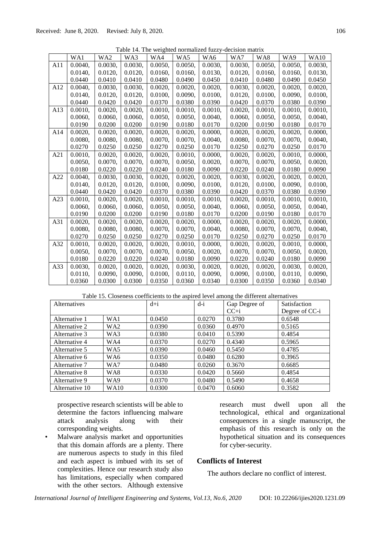|  | Table 14. The weighted normalized fuzzy-decision matrix |  |  |
|--|---------------------------------------------------------|--|--|
|  |                                                         |  |  |

|     | WA1     | WA <sub>2</sub> | WA3     | WA4        | WA5        | WA6     | WA7     | WA8     | WA9     | <b>WA10</b> |
|-----|---------|-----------------|---------|------------|------------|---------|---------|---------|---------|-------------|
| A11 | 0.0040. | $0.0030$ ,      | 0.0030. | $0.0050$ , | 0.0050,    | 0.0030. | 0.0030. | 0.0050, | 0.0050. | $0.0030$ ,  |
|     | 0.0140, | 0.0120,         | 0.0120, | 0.0160,    | 0.0160,    | 0.0130, | 0.0120, | 0.0160, | 0.0160, | 0.0130,     |
|     | 0.0440  | 0.0410          | 0.0410  | 0.0480     | 0.0490     | 0.0450  | 0.0410  | 0.0480  | 0.0490  | 0.0450      |
| A12 | 0.0040, | 0.0030,         | 0.0030, | 0.0020,    | 0.0020,    | 0.0020, | 0.0030, | 0.0020. | 0.0020, | 0.0020,     |
|     | 0.0140, | 0.0120,         | 0.0120, | 0.0100,    | 0.0090,    | 0.0100, | 0.0120, | 0.0100, | 0.0090, | 0.0100,     |
|     | 0.0440  | 0.0420          | 0.0420  | 0.0370     | 0.0380     | 0.0390  | 0.0420  | 0.0370  | 0.0380  | 0.0390      |
| A13 | 0.0010, | 0.0020,         | 0.0020, | 0.0010,    | 0.0010,    | 0.0010, | 0.0020, | 0.0010, | 0.0010. | 0.0010,     |
|     | 0.0060, | 0.0060,         | 0.0060, | 0.0050,    | 0.0050,    | 0.0040, | 0.0060, | 0.0050, | 0.0050, | 0.0040,     |
|     | 0.0190  | 0.0200          | 0.0200  | 0.0190     | 0.0180     | 0.0170  | 0.0200  | 0.0190  | 0.0180  | 0.0170      |
| A14 | 0.0020, | 0.0020,         | 0.0020, | 0.0020,    | 0.0020,    | 0.0000, | 0.0020, | 0.0020, | 0.0020, | 0.0000,     |
|     | 0.0080, | 0.0080,         | 0.0080, | 0.0070,    | 0.0070.    | 0.0040, | 0.0080. | 0.0070, | 0.0070. | 0.0040,     |
|     | 0.0270  | 0.0250          | 0.0250  | 0.0270     | 0.0250     | 0.0170  | 0.0250  | 0.0270  | 0.0250  | 0.0170      |
| A21 | 0.0010, | 0.0020,         | 0.0020, | 0.0020,    | 0.0010,    | 0.0000, | 0.0020, | 0.0020, | 0.0010, | 0.0000,     |
|     | 0.0050, | 0.0070,         | 0.0070, | 0.0070,    | 0.0050,    | 0.0020, | 0.0070, | 0.0070, | 0.0050, | 0.0020,     |
|     | 0.0180  | 0.0220          | 0.0220  | 0.0240     | 0.0180     | 0.0090  | 0.0220  | 0.0240  | 0.0180  | 0.0090      |
| A22 | 0.0040. | $0.0030$ ,      | 0.0030. | $0.0020$ , | $0.0020$ , | 0.0020. | 0.0030. | 0.0020. | 0.0020, | $0.0020$ ,  |
|     | 0.0140, | 0.0120,         | 0.0120, | 0.0100,    | 0.0090,    | 0.0100, | 0.0120, | 0.0100, | 0.0090, | 0.0100,     |
|     | 0.0440  | 0.0420          | 0.0420  | 0.0370     | 0.0380     | 0.0390  | 0.0420  | 0.0370  | 0.0380  | 0.0390      |
| A23 | 0.0010, | 0.0020,         | 0.0020, | 0.0010,    | 0.0010,    | 0.0010, | 0.0020, | 0.0010, | 0.0010, | $0.0010$ ,  |
|     | 0.0060, | 0.0060,         | 0.0060, | 0.0050,    | 0.0050,    | 0.0040, | 0.0060, | 0.0050, | 0.0050, | 0.0040,     |
|     | 0.0190  | 0.0200          | 0.0200  | 0.0190     | 0.0180     | 0.0170  | 0.0200  | 0.0190  | 0.0180  | 0.0170      |
| A31 | 0.0020, | 0.0020,         | 0.0020, | 0.0020,    | 0.0020,    | 0.0000, | 0.0020, | 0.0020, | 0.0020, | 0.0000,     |
|     | 0.0080, | 0.0080,         | 0.0080, | 0.0070,    | 0.0070,    | 0.0040, | 0.0080, | 0.0070, | 0.0070, | 0.0040,     |
|     | 0.0270  | 0.0250          | 0.0250  | 0.0270     | 0.0250     | 0.0170  | 0.0250  | 0.0270  | 0.0250  | 0.0170      |
| A32 | 0.0010, | 0.0020,         | 0.0020, | 0.0020,    | 0.0010,    | 0.0000, | 0.0020, | 0.0020, | 0.0010, | 0.0000,     |
|     | 0.0050, | 0.0070,         | 0.0070, | 0.0070,    | 0.0050,    | 0.0020, | 0.0070, | 0.0070, | 0.0050, | 0.0020,     |
|     | 0.0180  | 0.0220          | 0.0220  | 0.0240     | 0.0180     | 0.0090  | 0.0220  | 0.0240  | 0.0180  | 0.0090      |
| A33 | 0.0030, | 0.0020,         | 0.0020, | 0.0020,    | 0.0030,    | 0.0020, | 0.0020, | 0.0020, | 0.0030, | 0.0020,     |
|     | 0.0110, | 0.0090,         | 0.0090, | 0.0100,    | 0.0110,    | 0.0090, | 0.0090, | 0.0100, | 0.0110, | 0.0090,     |
|     | 0.0360  | 0.0300          | 0.0300  | 0.0350     | 0.0360     | 0.0340  | 0.0300  | 0.0350  | 0.0360  | 0.0340      |

Table 15. Closeness coefficients to the aspired level among the different alternatives

| Alternatives   |                 | $d+i$  | $d-i$  | Gap Degree of | Satisfaction   |  |
|----------------|-----------------|--------|--------|---------------|----------------|--|
|                |                 |        |        | $CC + i$      | Degree of CC-i |  |
| Alternative 1  | WA1             | 0.0450 | 0.0270 | 0.3780        | 0.6548         |  |
| Alternative 2  | WA <sub>2</sub> | 0.0390 | 0.0360 | 0.4970        | 0.5165         |  |
| Alternative 3  | WA3             | 0.0380 | 0.0410 | 0.5390        | 0.4854         |  |
| Alternative 4  | WA4             | 0.0370 | 0.0270 | 0.4340        | 0.5965         |  |
| Alternative 5  | WA5             | 0.0390 | 0.0460 | 0.5450        | 0.4785         |  |
| Alternative 6  | WA6             | 0.0350 | 0.0480 | 0.6280        | 0.3965         |  |
| Alternative 7  | WA7             | 0.0480 | 0.0260 | 0.3670        | 0.6685         |  |
| Alternative 8  | WA8             | 0.0330 | 0.0420 | 0.5660        | 0.4854         |  |
| Alternative 9  | WA9             | 0.0370 | 0.0480 | 0.5490        | 0.4658         |  |
| Alternative 10 | <b>WA10</b>     | 0.0300 | 0.0470 | 0.6060        | 0.3582         |  |

prospective research scientists will be able to determine the factors influencing malware attack analysis along with their corresponding weights.

• Malware analysis market and opportunities that this domain affords are a plenty. There are numerous aspects to study in this filed and each aspect is imbued with its set of complexities. Hence our research study also has limitations, especially when compared with the other sectors. Although extensive

research must dwell upon all the technological, ethical and organizational consequences in a single manuscript, the emphasis of this research is only on the hypothetical situation and its consequences for cyber-security.

# **Conflicts of Interest**

The authors declare no conflict of interest.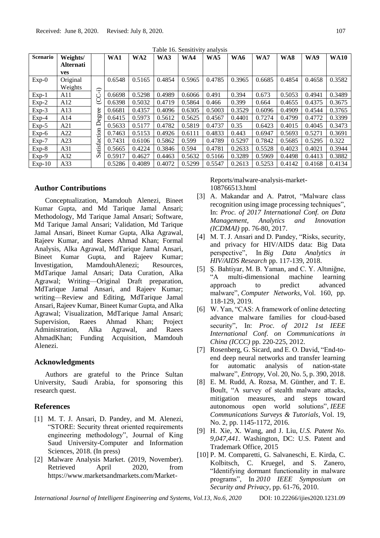| <b>Scenario</b> | Weights/         |                        | WA1    | WA <sub>2</sub> | WA3    | WA4    | WA5    | WA6    | WA7    | WA8    | WA9    | <b>WA10</b> |
|-----------------|------------------|------------------------|--------|-----------------|--------|--------|--------|--------|--------|--------|--------|-------------|
|                 | <b>Alternati</b> |                        |        |                 |        |        |        |        |        |        |        |             |
|                 | <b>ves</b>       |                        |        |                 |        |        |        |        |        |        |        |             |
| $Exp-0$         | Original         |                        | 0.6548 | 0.5165          | 0.4854 | 0.5965 | 0.4785 | 0.3965 | 0.6685 | 0.4854 | 0.4658 | 0.3582      |
|                 | Weights          | $\widehat{\mathbf{r}}$ |        |                 |        |        |        |        |        |        |        |             |
| $Exp-1$         | A11              | ن                      | 0.6698 | 0.5298          | 0.4989 | 0.6066 | 0.491  | 0.394  | 0.673  | 0.5053 | 0.4941 | 0.3489      |
| $Exp-2$         | A12              | ಲ                      | 0.6398 | 0.5032          | 0.4719 | 0.5864 | 0.466  | 0.399  | 0.664  | 0.4655 | 0.4375 | 0.3675      |
| $Exp-3$         | A13              |                        | 0.6681 | 0.4357          | 0.4096 | 0.6305 | 0.5003 | 0.3529 | 0.6096 | 0.4909 | 0.4544 | 0.3765      |
| $Exp-4$         | A14              | egree                  | 0.6415 | 0.5973          | 0.5612 | 0.5625 | 0.4567 | 0.4401 | 0.7274 | 0.4799 | 0.4772 | 0.3399      |
| $Exp-5$         | A21              | ≏                      | 0.5633 | 0.5177          | 0.4782 | 0.5819 | 0.4737 | 0.35   | 0.6423 | 0.4015 | 0.4045 | 0.3473      |
| $Exp-6$         | A22              |                        | 0.7463 | 0.5153          | 0.4926 | 0.6111 | 0.4833 | 0.443  | 0.6947 | 0.5693 | 0.5271 | 0.3691      |
| $Exp-7$         | A23              |                        | 0.7431 | 0.6106          | 0.5862 | 0.599  | 0.4789 | 0.5297 | 0.7842 | 0.5685 | 0.5295 | 0.322       |
| $Exp-8$         | A31              | atisfaction            | 0.5665 | 0.4224          | 0.3846 | 0.594  | 0.4781 | 0.2633 | 0.5528 | 0.4023 | 0.4021 | 0.3944      |
| $Exp-9$         | A32              | Ω                      | 0.5917 | 0.4627          | 0.4463 | 0.5632 | 0.5166 | 0.3289 | 0.5969 | 0.4498 | 0.4413 | 0.3882      |
| $Exp-10$        | A33              |                        | 0.5286 | 0.4089          | 0.4072 | 0.5299 | 0.5547 | 0.2613 | 0.5253 | 0.4142 | 0.4168 | 0.4134      |

Table 16. Sensitivity analysis

# **Author Contributions**

Conceptualization, Mamdouh Alenezi, Bineet Kumar Gupta, and Md Tarique Jamal Ansari; Methodology, Md Tarique Jamal Ansari; Software, Md Tarique Jamal Ansari; Validation, Md Tarique Jamal Ansari, Bineet Kumar Gupta, Alka Agrawal, Rajeev Kumar, and Raees Ahmad Khan; Formal Analysis, Alka Agrawal, MdTarique Jamal Ansari, Bineet Kumar Gupta, and Rajeev Kumar; Investigation, MamdouhAlenezi; Resources, MdTarique Jamal Ansari; Data Curation, Alka Agrawal; Writing—Original Draft preparation, MdTarique Jamal Ansari, and Rajeev Kumar; writing—Review and Editing, MdTarique Jamal Ansari, Rajeev Kumar, Bineet Kumar Gupta, and Alka Agrawal; Visualization, MdTarique Jamal Ansari; Supervision, Raees Ahmad Khan; Project Administration, Alka Agrawal, and Raees AhmadKhan; Funding Acquisition, Mamdouh Alenezi.

# **Acknowledgments**

Authors are grateful to the Prince Sultan University, Saudi Arabia, for sponsoring this research quest.

# **References**

- [1] M. T. J. Ansari, D. Pandey, and M. Alenezi, "STORE: Security threat oriented requirements engineering methodology", Journal of King Saud University-Computer and Information Sciences, 2018. (In press)
- [2] Malware Analysis Market. (2019, November). Retrieved April 2020, from https://www.marketsandmarkets.com/Market-

Reports/malware-analysis-market-108766513.html

- [3] A. Makandar and A. Patrot, "Malware class recognition using image processing techniques", In: *Proc. of 2017 International Conf. on Data Management, Analytics and Innovation (ICDMAI)* pp. 76-80, 2017.
- [4] M. T. J. Ansari and D. Pandey, "Risks, security, and privacy for HIV/AIDS data: Big Data perspective", In *Big Data Analytics in HIV/AIDS Research* pp. 117-139, 2018.
- [5] Ş. Bahtiyar, M. B. Yaman, and C. Y. Altıniğne, "A multi-dimensional machine learning approach to predict advanced malware", *Computer Networks*, Vol. 160, pp. 118-129, 2019.
- [6] W. Yan, "CAS: A framework of online detecting advance malware families for cloud-based security", In: *Proc. of 2012 1st IEEE International Conf. on Communications in China (ICCC)* pp. 220-225, 2012.
- [7] Rosenberg, G. Sicard, and E. O. David, "End-toend deep neural networks and transfer learning for automatic analysis of nation-state malware", *Entropy*, Vol. 20*,* No. 5, p. 390, 2018.
- [8] E. M. Rudd, A. Rozsa, M. Günther, and T. E. Boult, "A survey of stealth malware attacks, mitigation measures, and steps toward autonomous open world solutions", *IEEE Communications Surveys & Tutorials*, Vol. 19, No. 2, pp. 1145-1172, 2016.
- [9] H. Xie, X. Wang, and J. Liu, *U.S. Patent No. 9,047,441*. Washington, DC: U.S. Patent and Trademark Office, 2015
- [10] P. M. Comparetti, G. Salvaneschi, E. Kirda, C. Kolbitsch, C. Kruegel, and S. Zanero, "Identifying dormant functionality in malware programs", In *2010 IEEE Symposium on Security and Privacy*, pp. 61-76, 2010.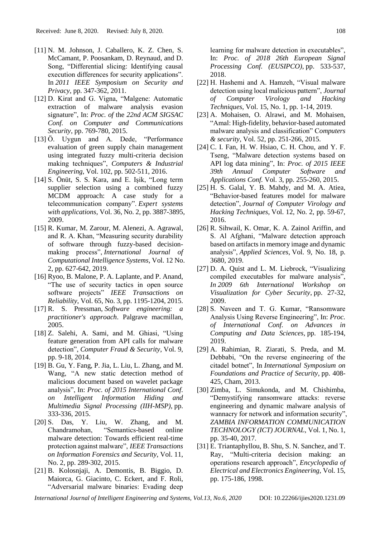- [11] N. M. Johnson, J. Caballero, K. Z. Chen, S. McCamant, P. Poosankam, D. Reynaud, and D. Song, "Differential slicing: Identifying causal execution differences for security applications". In *2011 IEEE Symposium on Security and Privacy*, pp. 347-362, 2011.
- [12] D. Kirat and G. Vigna, "Malgene: Automatic extraction of malware analysis evasion signature", In: *Proc. of* the *22nd ACM SIGSAC Conf. on Computer and Communications Security*, pp. 769-780, 2015.
- [13] Ö. Uygun and A. Dede, "Performance evaluation of green supply chain management using integrated fuzzy multi-criteria decision making techniques", *Computers & Industrial Engineering*, Vol. 102, pp. 502-511, 2016.
- [14] S. Önüt, S. S. Kara, and E. Işik, "Long term supplier selection using a combined fuzzy MCDM approach: A case study for a telecommunication company". *Expert systems with applications*, Vol. 36, No. 2, pp. 3887-3895, 2009.
- [15] R. Kumar, M. Zarour, M. Alenezi, A. Agrawal, and R. A. Khan, "Measuring security durability of software through fuzzy-based decisionmaking process", *International Journal of Computational Intelligence Systems*, Vol. 12 No. 2, pp. 627-642, 2019.
- [16] Ryoo, B. Malone, P. A. Laplante, and P. Anand, "The use of security tactics in open source software projects" *IEEE Transactions on Reliability*, Vol. 65, No. 3, pp. 1195-1204, 2015.
- [17] R. S. Pressman, *Software engineering: a practitioner's approach*. Palgrave macmillan, 2005.
- [18] Z. Salehi, A. Sami, and M. Ghiasi, "Using feature generation from API calls for malware detection", *Computer Fraud & Security*, Vol. 9, pp. 9-18, 2014.
- [19] B. Gu, Y. Fang, P. Jia, L. Liu, L. Zhang, and M. Wang, "A new static detection method of malicious document based on wavelet package analysis", In: *Proc. of 2015 International Conf. on Intelligent Information Hiding and Multimedia Signal Processing (IIH-MSP)*, pp. 333-336, 2015.
- [20] S. Das, Y. Liu, W. Zhang, and M. Chandramohan, "Semantics-based online malware detection: Towards efficient real-time protection against malware", *IEEE Transactions on Information Forensics and Security*, Vol. 11, No. 2, pp. 289-302, 2015.
- [21] B. Kolosnjaji, A. Demontis, B. Biggio, D. Maiorca, G. Giacinto, C. Eckert, and F. Roli, "Adversarial malware binaries: Evading deep

learning for malware detection in executables", In: *Proc. of 2018 26th European Signal Processing Conf. (EUSIPCO)*, pp. 533-537, 2018.

- [22] H. Hashemi and A. Hamzeh, "Visual malware detection using local malicious pattern", *Journal of Computer Virology and Hacking Techniques*, Vol. 15, No. 1, pp. 1-14, 2019.
- [23] A. Mohaisen, O. Alrawi, and M. Mohaisen, "Amal: High-fidelity, behavior-based automated malware analysis and classification" C*omputers & security*, Vol. 52, pp. 251-266, 2015.
- [24] C. I. Fan, H. W. Hsiao, C. H. Chou, and Y. F. Tseng, "Malware detection systems based on API log data mining", In: *Proc. of 2015 IEEE 39th Annual Computer Software and Applications Conf.* Vol. 3, pp. 255-260, 2015.
- $[25]$  H. S. Galal, Y. B. Mahdy, and M. A. Atiea, "Behavior-based features model for malware detection", *Journal of Computer Virology and Hacking Techniques*, Vol. 12, No. 2, pp. 59-67, 2016.
- [26] R. Sihwail, K. Omar, K. A. Zainol Ariffin, and S. Al Afghani, "Malware detection approach based on artifacts in memory image and dynamic analysis", *Applied Sciences*, Vol. 9, No. 18, p. 3680, 2019.
- [27] D. A. Quist and L. M. Liebrock, "Visualizing compiled executables for malware analysis", *In 2009 6th International Workshop on Visualization for Cyber Security*, pp. 27-32, 2009.
- [28] S. Naveen and T. G. Kumar, "Ransomware Analysis Using Reverse Engineering", In: *Proc. of International Conf. on Advances in Computing and Data Sciences*, pp. 185-194, 2019.
- [29] A. Rahimian, R. Ziarati, S. Preda, and M. Debbabi, "On the reverse engineering of the citadel botnet", In *International Symposium on Foundations and Practice of Security*, pp. 408- 425, Cham, 2013.
- [30] Zimba, L. Simukonda, and M. Chishimba, "Demystifying ransomware attacks: reverse engineering and dynamic malware analysis of wannacry for network and information security", *ZAMBIA INFORMATION COMMUNICATION TECHNOLOGY (ICT) JOURNAL*, Vol. 1, No. 1, pp. 35-40, 2017.
- [31] E. Triantaphyllou, B. Shu, S. N. Sanchez, and T. Ray, "Multi-criteria decision making: an operations research approach", *Encyclopedia of Electrical and Electronics Engineering*, Vol. 15, pp. 175-186, 1998.